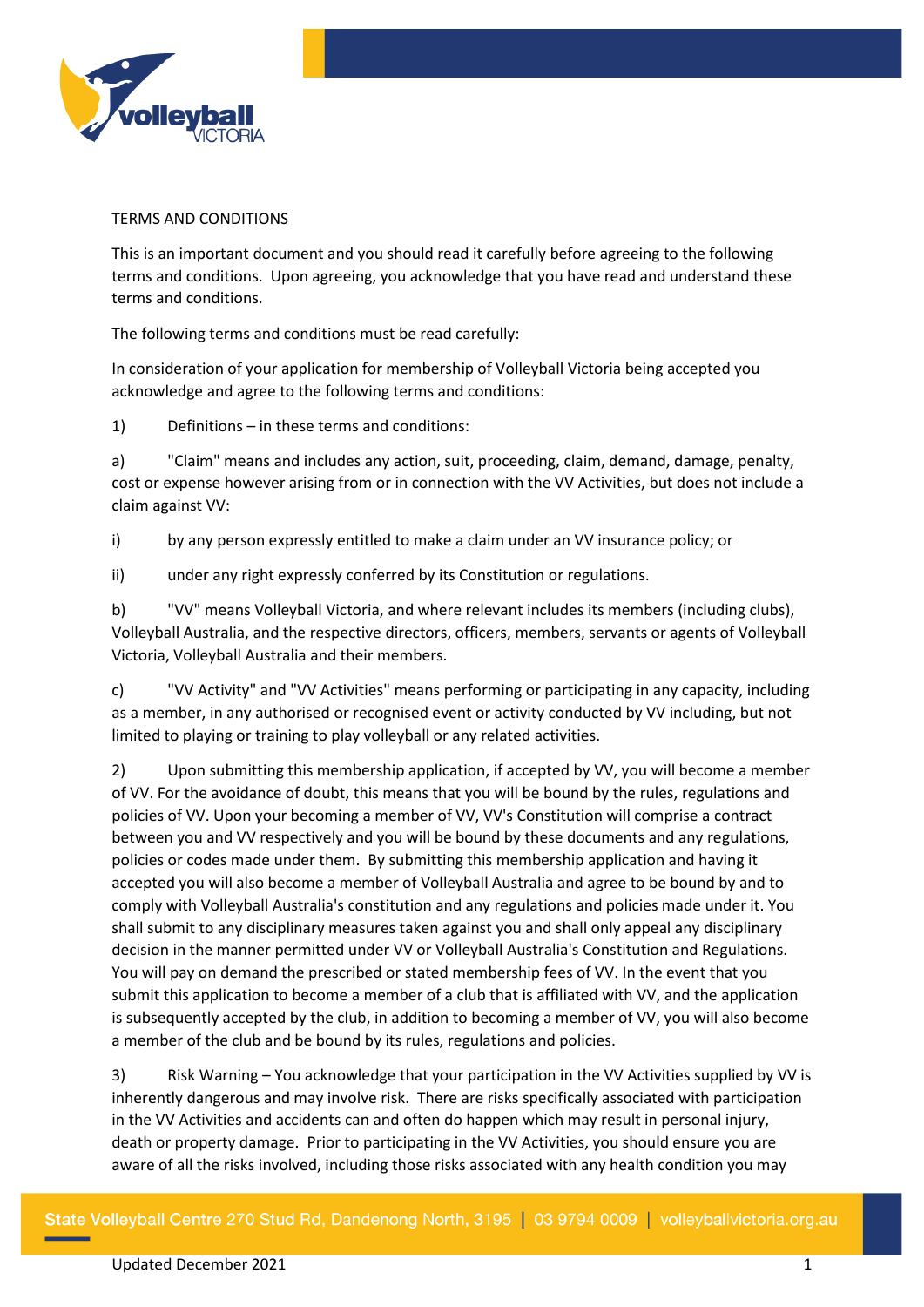

## TERMS AND CONDITIONS

This is an important document and you should read it carefully before agreeing to the following terms and conditions. Upon agreeing, you acknowledge that you have read and understand these terms and conditions.

The following terms and conditions must be read carefully:

In consideration of your application for membership of Volleyball Victoria being accepted you acknowledge and agree to the following terms and conditions:

1) Definitions – in these terms and conditions:

a) "Claim" means and includes any action, suit, proceeding, claim, demand, damage, penalty, cost or expense however arising from or in connection with the VV Activities, but does not include a claim against VV:

i) by any person expressly entitled to make a claim under an VV insurance policy; or

ii) under any right expressly conferred by its Constitution or regulations.

b) "VV" means Volleyball Victoria, and where relevant includes its members (including clubs), Volleyball Australia, and the respective directors, officers, members, servants or agents of Volleyball Victoria, Volleyball Australia and their members.

c) "VV Activity" and "VV Activities" means performing or participating in any capacity, including as a member, in any authorised or recognised event or activity conducted by VV including, but not limited to playing or training to play volleyball or any related activities.

2) Upon submitting this membership application, if accepted by VV, you will become a member of VV. For the avoidance of doubt, this means that you will be bound by the rules, regulations and policies of VV. Upon your becoming a member of VV, VV's Constitution will comprise a contract between you and VV respectively and you will be bound by these documents and any regulations, policies or codes made under them. By submitting this membership application and having it accepted you will also become a member of Volleyball Australia and agree to be bound by and to comply with Volleyball Australia's constitution and any regulations and policies made under it. You shall submit to any disciplinary measures taken against you and shall only appeal any disciplinary decision in the manner permitted under VV or Volleyball Australia's Constitution and Regulations. You will pay on demand the prescribed or stated membership fees of VV. In the event that you submit this application to become a member of a club that is affiliated with VV, and the application is subsequently accepted by the club, in addition to becoming a member of VV, you will also become a member of the club and be bound by its rules, regulations and policies.

3) Risk Warning – You acknowledge that your participation in the VV Activities supplied by VV is inherently dangerous and may involve risk. There are risks specifically associated with participation in the VV Activities and accidents can and often do happen which may result in personal injury, death or property damage. Prior to participating in the VV Activities, you should ensure you are aware of all the risks involved, including those risks associated with any health condition you may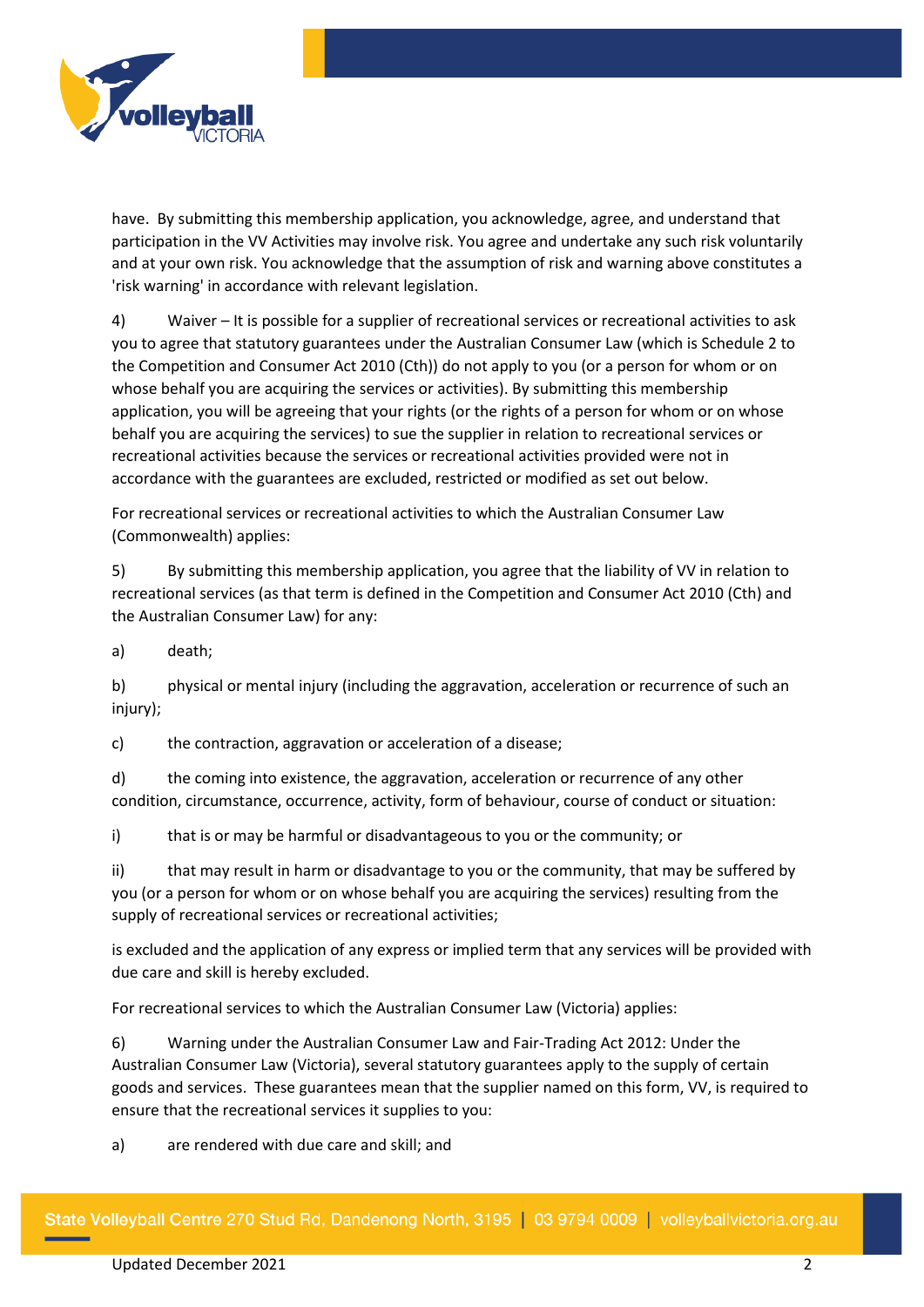

have. By submitting this membership application, you acknowledge, agree, and understand that participation in the VV Activities may involve risk. You agree and undertake any such risk voluntarily and at your own risk. You acknowledge that the assumption of risk and warning above constitutes a 'risk warning' in accordance with relevant legislation.

4) Waiver – It is possible for a supplier of recreational services or recreational activities to ask you to agree that statutory guarantees under the Australian Consumer Law (which is Schedule 2 to the Competition and Consumer Act 2010 (Cth)) do not apply to you (or a person for whom or on whose behalf you are acquiring the services or activities). By submitting this membership application, you will be agreeing that your rights (or the rights of a person for whom or on whose behalf you are acquiring the services) to sue the supplier in relation to recreational services or recreational activities because the services or recreational activities provided were not in accordance with the guarantees are excluded, restricted or modified as set out below.

For recreational services or recreational activities to which the Australian Consumer Law (Commonwealth) applies:

5) By submitting this membership application, you agree that the liability of VV in relation to recreational services (as that term is defined in the Competition and Consumer Act 2010 (Cth) and the Australian Consumer Law) for any:

a) death;

b) physical or mental injury (including the aggravation, acceleration or recurrence of such an injury):

c) the contraction, aggravation or acceleration of a disease;

d) the coming into existence, the aggravation, acceleration or recurrence of any other condition, circumstance, occurrence, activity, form of behaviour, course of conduct or situation:

i) that is or may be harmful or disadvantageous to you or the community; or

ii) that may result in harm or disadvantage to you or the community, that may be suffered by you (or a person for whom or on whose behalf you are acquiring the services) resulting from the supply of recreational services or recreational activities;

is excluded and the application of any express or implied term that any services will be provided with due care and skill is hereby excluded.

For recreational services to which the Australian Consumer Law (Victoria) applies:

6) Warning under the Australian Consumer Law and Fair-Trading Act 2012: Under the Australian Consumer Law (Victoria), several statutory guarantees apply to the supply of certain goods and services. These guarantees mean that the supplier named on this form, VV, is required to ensure that the recreational services it supplies to you:

a) are rendered with due care and skill; and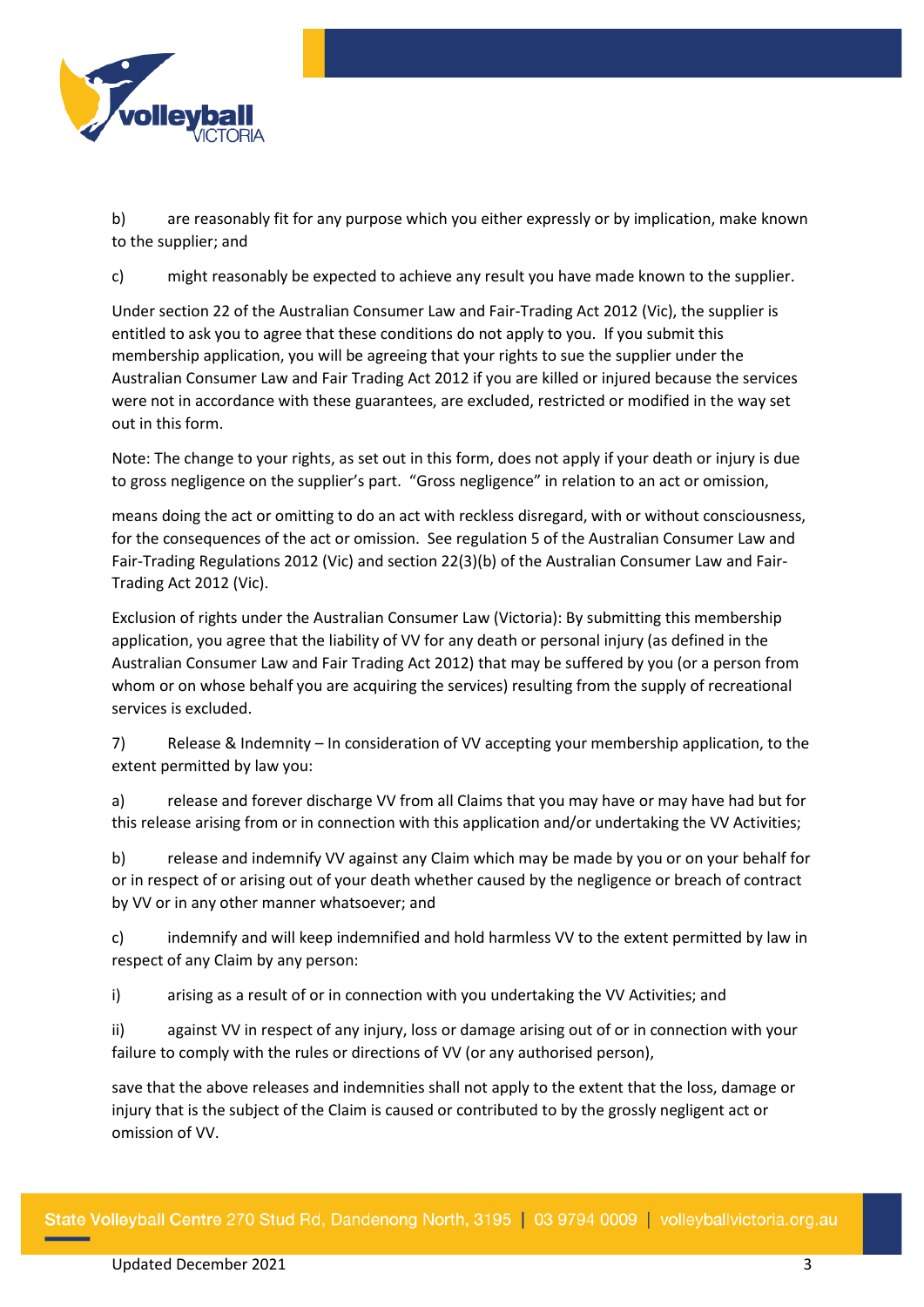

b) are reasonably fit for any purpose which you either expressly or by implication, make known to the supplier; and

c) might reasonably be expected to achieve any result you have made known to the supplier.

Under section 22 of the Australian Consumer Law and Fair-Trading Act 2012 (Vic), the supplier is entitled to ask you to agree that these conditions do not apply to you. If you submit this membership application, you will be agreeing that your rights to sue the supplier under the Australian Consumer Law and Fair Trading Act 2012 if you are killed or injured because the services were not in accordance with these guarantees, are excluded, restricted or modified in the way set out in this form.

Note: The change to your rights, as set out in this form, does not apply if your death or injury is due to gross negligence on the supplier's part. "Gross negligence" in relation to an act or omission,

means doing the act or omitting to do an act with reckless disregard, with or without consciousness, for the consequences of the act or omission. See regulation 5 of the Australian Consumer Law and Fair-Trading Regulations 2012 (Vic) and section 22(3)(b) of the Australian Consumer Law and Fair-Trading Act 2012 (Vic).

Exclusion of rights under the Australian Consumer Law (Victoria): By submitting this membership application, you agree that the liability of VV for any death or personal injury (as defined in the Australian Consumer Law and Fair Trading Act 2012) that may be suffered by you (or a person from whom or on whose behalf you are acquiring the services) resulting from the supply of recreational services is excluded.

7) Release & Indemnity – In consideration of VV accepting your membership application, to the extent permitted by law you:

a) release and forever discharge VV from all Claims that you may have or may have had but for this release arising from or in connection with this application and/or undertaking the VV Activities;

b) release and indemnify VV against any Claim which may be made by you or on your behalf for or in respect of or arising out of your death whether caused by the negligence or breach of contract by VV or in any other manner whatsoever; and

c) indemnify and will keep indemnified and hold harmless VV to the extent permitted by law in respect of any Claim by any person:

i) arising as a result of or in connection with you undertaking the VV Activities; and

ii) against VV in respect of any injury, loss or damage arising out of or in connection with your failure to comply with the rules or directions of VV (or any authorised person),

save that the above releases and indemnities shall not apply to the extent that the loss, damage or injury that is the subject of the Claim is caused or contributed to by the grossly negligent act or omission of VV.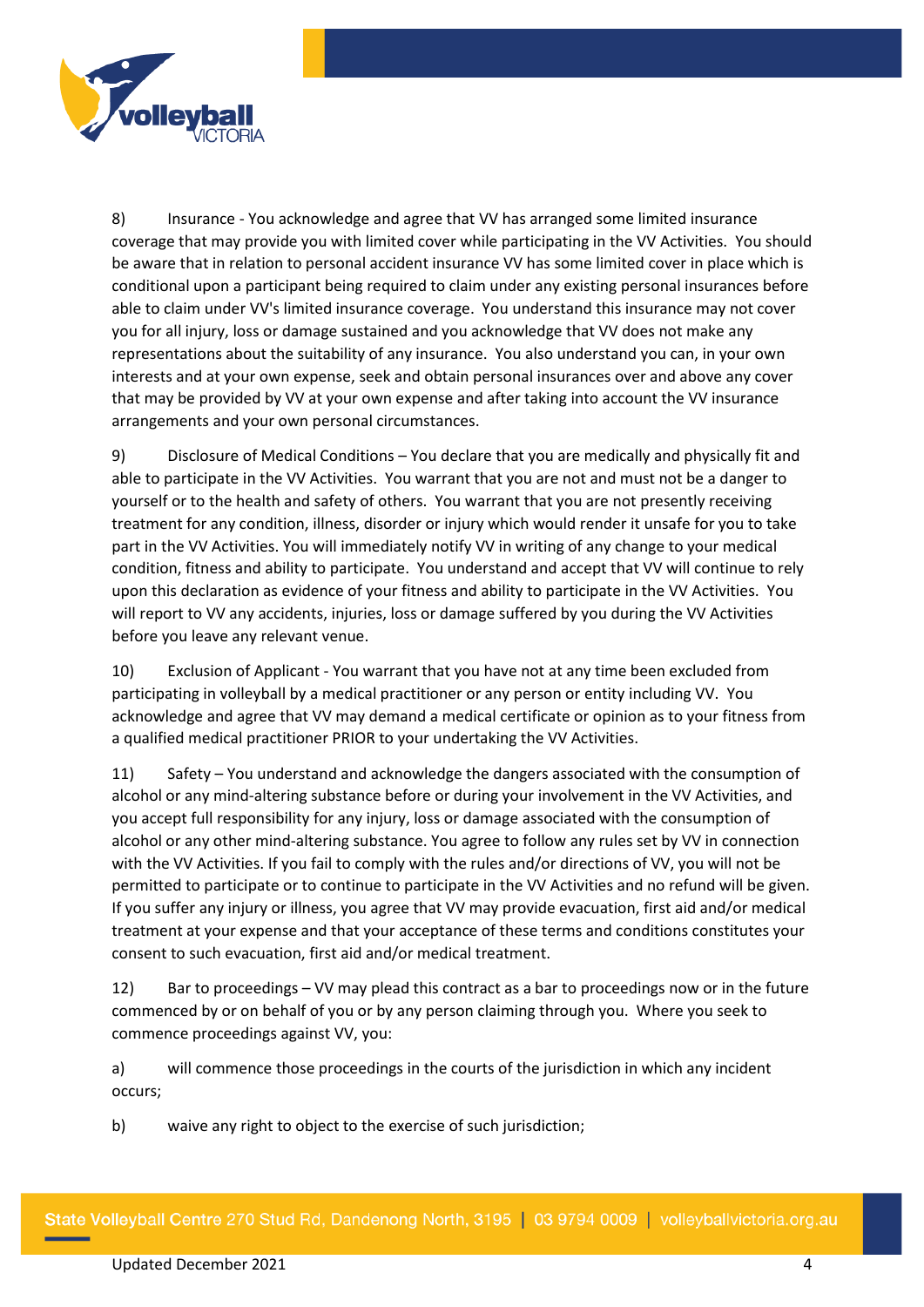

8) Insurance - You acknowledge and agree that VV has arranged some limited insurance coverage that may provide you with limited cover while participating in the VV Activities. You should be aware that in relation to personal accident insurance VV has some limited cover in place which is conditional upon a participant being required to claim under any existing personal insurances before able to claim under VV's limited insurance coverage. You understand this insurance may not cover you for all injury, loss or damage sustained and you acknowledge that VV does not make any representations about the suitability of any insurance. You also understand you can, in your own interests and at your own expense, seek and obtain personal insurances over and above any cover that may be provided by VV at your own expense and after taking into account the VV insurance arrangements and your own personal circumstances.

9) Disclosure of Medical Conditions – You declare that you are medically and physically fit and able to participate in the VV Activities. You warrant that you are not and must not be a danger to yourself or to the health and safety of others. You warrant that you are not presently receiving treatment for any condition, illness, disorder or injury which would render it unsafe for you to take part in the VV Activities. You will immediately notify VV in writing of any change to your medical condition, fitness and ability to participate. You understand and accept that VV will continue to rely upon this declaration as evidence of your fitness and ability to participate in the VV Activities. You will report to VV any accidents, injuries, loss or damage suffered by you during the VV Activities before you leave any relevant venue.

10) Exclusion of Applicant - You warrant that you have not at any time been excluded from participating in volleyball by a medical practitioner or any person or entity including VV. You acknowledge and agree that VV may demand a medical certificate or opinion as to your fitness from a qualified medical practitioner PRIOR to your undertaking the VV Activities.

11) Safety – You understand and acknowledge the dangers associated with the consumption of alcohol or any mind-altering substance before or during your involvement in the VV Activities, and you accept full responsibility for any injury, loss or damage associated with the consumption of alcohol or any other mind-altering substance. You agree to follow any rules set by VV in connection with the VV Activities. If you fail to comply with the rules and/or directions of VV, you will not be permitted to participate or to continue to participate in the VV Activities and no refund will be given. If you suffer any injury or illness, you agree that VV may provide evacuation, first aid and/or medical treatment at your expense and that your acceptance of these terms and conditions constitutes your consent to such evacuation, first aid and/or medical treatment.

12) Bar to proceedings – VV may plead this contract as a bar to proceedings now or in the future commenced by or on behalf of you or by any person claiming through you. Where you seek to commence proceedings against VV, you:

a) will commence those proceedings in the courts of the jurisdiction in which any incident occurs;

b) waive any right to object to the exercise of such jurisdiction;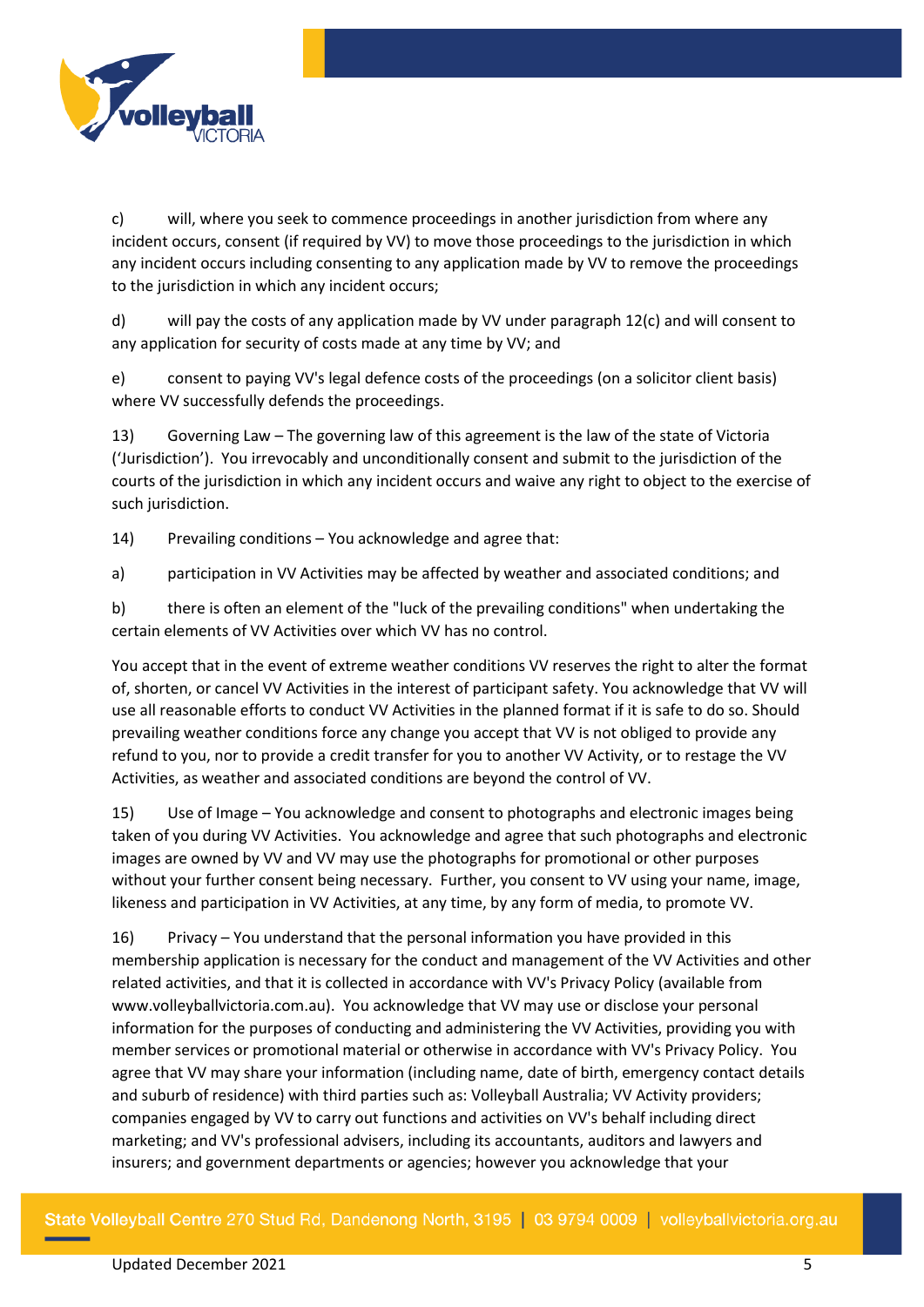

c) will, where you seek to commence proceedings in another jurisdiction from where any incident occurs, consent (if required by VV) to move those proceedings to the jurisdiction in which any incident occurs including consenting to any application made by VV to remove the proceedings to the jurisdiction in which any incident occurs;

d) will pay the costs of any application made by VV under paragraph 12(c) and will consent to any application for security of costs made at any time by VV; and

e) consent to paying VV's legal defence costs of the proceedings (on a solicitor client basis) where VV successfully defends the proceedings.

13) Governing Law – The governing law of this agreement is the law of the state of Victoria ('Jurisdiction'). You irrevocably and unconditionally consent and submit to the jurisdiction of the courts of the jurisdiction in which any incident occurs and waive any right to object to the exercise of such jurisdiction.

14) Prevailing conditions – You acknowledge and agree that:

a) participation in VV Activities may be affected by weather and associated conditions; and

b) there is often an element of the "luck of the prevailing conditions" when undertaking the certain elements of VV Activities over which VV has no control.

You accept that in the event of extreme weather conditions VV reserves the right to alter the format of, shorten, or cancel VV Activities in the interest of participant safety. You acknowledge that VV will use all reasonable efforts to conduct VV Activities in the planned format if it is safe to do so. Should prevailing weather conditions force any change you accept that VV is not obliged to provide any refund to you, nor to provide a credit transfer for you to another VV Activity, or to restage the VV Activities, as weather and associated conditions are beyond the control of VV.

15) Use of Image – You acknowledge and consent to photographs and electronic images being taken of you during VV Activities. You acknowledge and agree that such photographs and electronic images are owned by VV and VV may use the photographs for promotional or other purposes without your further consent being necessary. Further, you consent to VV using your name, image, likeness and participation in VV Activities, at any time, by any form of media, to promote VV.

16) Privacy – You understand that the personal information you have provided in this membership application is necessary for the conduct and management of the VV Activities and other related activities, and that it is collected in accordance with VV's Privacy Policy (available from www.volleyballvictoria.com.au). You acknowledge that VV may use or disclose your personal information for the purposes of conducting and administering the VV Activities, providing you with member services or promotional material or otherwise in accordance with VV's Privacy Policy. You agree that VV may share your information (including name, date of birth, emergency contact details and suburb of residence) with third parties such as: Volleyball Australia; VV Activity providers; companies engaged by VV to carry out functions and activities on VV's behalf including direct marketing; and VV's professional advisers, including its accountants, auditors and lawyers and insurers; and government departments or agencies; however you acknowledge that your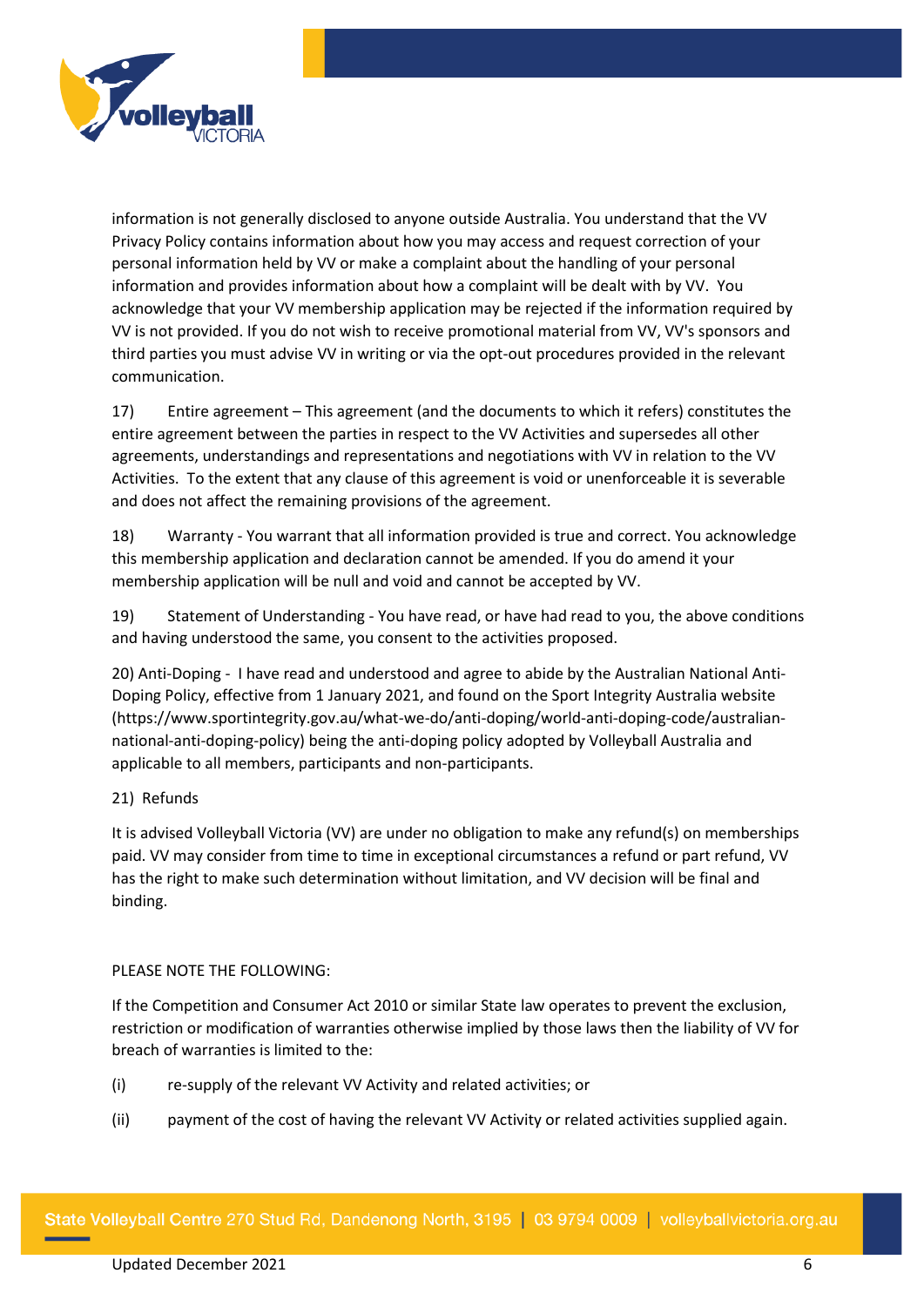

information is not generally disclosed to anyone outside Australia. You understand that the VV Privacy Policy contains information about how you may access and request correction of your personal information held by VV or make a complaint about the handling of your personal information and provides information about how a complaint will be dealt with by VV. You acknowledge that your VV membership application may be rejected if the information required by VV is not provided. If you do not wish to receive promotional material from VV, VV's sponsors and third parties you must advise VV in writing or via the opt-out procedures provided in the relevant communication.

17) Entire agreement – This agreement (and the documents to which it refers) constitutes the entire agreement between the parties in respect to the VV Activities and supersedes all other agreements, understandings and representations and negotiations with VV in relation to the VV Activities. To the extent that any clause of this agreement is void or unenforceable it is severable and does not affect the remaining provisions of the agreement.

18) Warranty - You warrant that all information provided is true and correct. You acknowledge this membership application and declaration cannot be amended. If you do amend it your membership application will be null and void and cannot be accepted by VV.

19) Statement of Understanding - You have read, or have had read to you, the above conditions and having understood the same, you consent to the activities proposed.

20) Anti-Doping - I have read and understood and agree to abide by the Australian National Anti-Doping Policy, effective from 1 January 2021, and found on the Sport Integrity Australia website [\(https://www.sportintegrity.gov.au/what-we-do/anti-doping/world-anti-doping-code/australian](https://www.sportintegrity.gov.au/what-we-do/anti-doping/world-anti-doping-code/australian-national-anti-doping-policy)[national-anti-doping-policy\)](https://www.sportintegrity.gov.au/what-we-do/anti-doping/world-anti-doping-code/australian-national-anti-doping-policy) being the anti-doping policy adopted by Volleyball Australia and applicable to all members, participants and non-participants.

# 21) Refunds

It is advised Volleyball Victoria (VV) are under no obligation to make any refund(s) on memberships paid. VV may consider from time to time in exceptional circumstances a refund or part refund, VV has the right to make such determination without limitation, and VV decision will be final and binding.

## PLEASE NOTE THE FOLLOWING:

If the Competition and Consumer Act 2010 or similar State law operates to prevent the exclusion, restriction or modification of warranties otherwise implied by those laws then the liability of VV for breach of warranties is limited to the:

- (i) re-supply of the relevant VV Activity and related activities; or
- (ii) payment of the cost of having the relevant VV Activity or related activities supplied again.